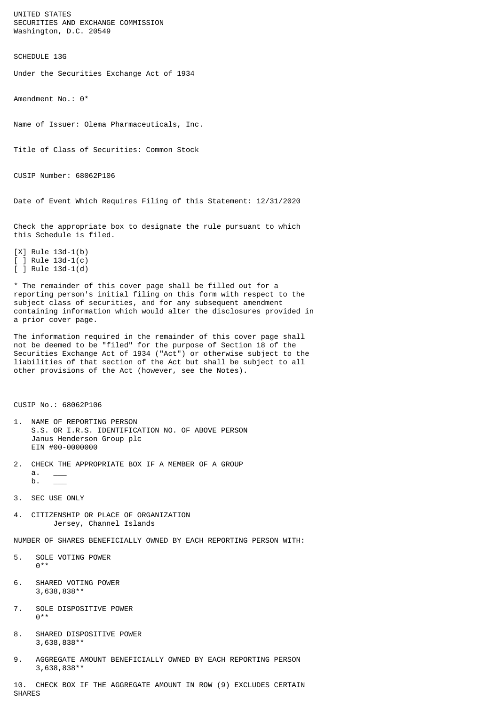UNITED STATES SECURITIES AND EXCHANGE COMMISSION Washington, D.C. 20549

SCHEDULE 13G

Under the Securities Exchange Act of 1934

Amendment No.: 0\*

Name of Issuer: Olema Pharmaceuticals, Inc.

Title of Class of Securities: Common Stock

CUSIP Number: 68062P106

Date of Event Which Requires Filing of this Statement: 12/31/2020

Check the appropriate box to designate the rule pursuant to which this Schedule is filed.

[X] Rule 13d-1(b)  $[ ]$  Rule 13d-1(c) [ ] Rule 13d-1(d)

\* The remainder of this cover page shall be filled out for a reporting person's initial filing on this form with respect to the subject class of securities, and for any subsequent amendment containing information which would alter the disclosures provided in a prior cover page.

The information required in the remainder of this cover page shall not be deemed to be "filed" for the purpose of Section 18 of the Securities Exchange Act of 1934 ("Act") or otherwise subject to the liabilities of that section of the Act but shall be subject to all other provisions of the Act (however, see the Notes).

CUSIP No.: 68062P106

- 1. NAME OF REPORTING PERSON S.S. OR I.R.S. IDENTIFICATION NO. OF ABOVE PERSON Janus Henderson Group plc EIN #00-0000000
- 2. CHECK THE APPROPRIATE BOX IF A MEMBER OF A GROUP  $a$ .
	- $b$ .
- 3. SEC USE ONLY
- 4. CITIZENSHIP OR PLACE OF ORGANIZATION Jersey, Channel Islands

NUMBER OF SHARES BENEFICIALLY OWNED BY EACH REPORTING PERSON WITH:

- 5. SOLE VOTING POWER  $0***$
- 6. SHARED VOTING POWER 3,638,838\*\*
- 7. SOLE DISPOSITIVE POWER  $0^*$
- 8. SHARED DISPOSITIVE POWER 3,638,838\*\*
- 9. AGGREGATE AMOUNT BENEFICIALLY OWNED BY EACH REPORTING PERSON 3,638,838\*\*

10. CHECK BOX IF THE AGGREGATE AMOUNT IN ROW (9) EXCLUDES CERTAIN SHARES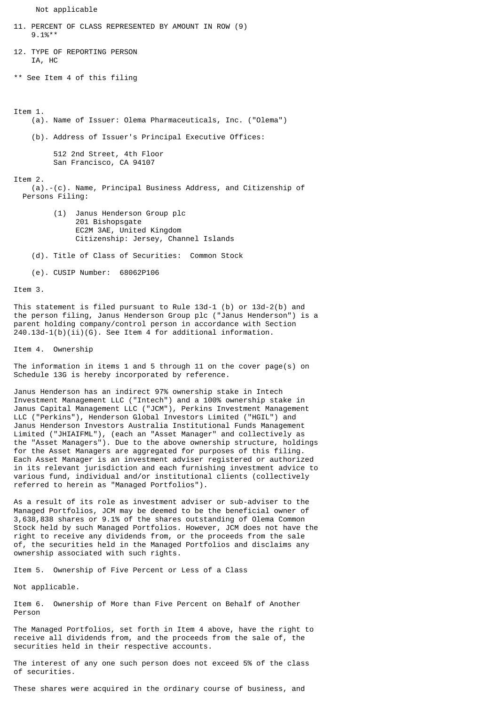Not applicable

```
11. PERCENT OF CLASS REPRESENTED BY AMOUNT IN ROW (9)
     9.1%**
12. TYPE OF REPORTING PERSON
     IA, HC
** See Item 4 of this filing
Item 1.
     (a). Name of Issuer: Olema Pharmaceuticals, Inc. ("Olema")
     (b). Address of Issuer's Principal Executive Offices:
          512 2nd Street, 4th Floor
          San Francisco, CA 94107
Item 2.
     (a).-(c). Name, Principal Business Address, and Citizenship of
   Persons Filing:
          (1) Janus Henderson Group plc
               201 Bishopsgate
               EC2M 3AE, United Kingdom
               Citizenship: Jersey, Channel Islands
     (d). Title of Class of Securities: Common Stock
```
(e). CUSIP Number: 68062P106

Item 3.

This statement is filed pursuant to Rule 13d-1 (b) or 13d-2(b) and the person filing, Janus Henderson Group plc ("Janus Henderson") is a parent holding company/control person in accordance with Section 240.13d-1(b)(ii)(G). See Item 4 for additional information.

Item 4. Ownership

The information in items 1 and 5 through 11 on the cover page(s) on Schedule 13G is hereby incorporated by reference.

Janus Henderson has an indirect 97% ownership stake in Intech Investment Management LLC ("Intech") and a 100% ownership stake in Janus Capital Management LLC ("JCM"), Perkins Investment Management LLC ("Perkins"), Henderson Global Investors Limited ("HGIL") and Janus Henderson Investors Australia Institutional Funds Management Limited ("JHIAIFML"), (each an "Asset Manager" and collectively as the "Asset Managers"). Due to the above ownership structure, holdings for the Asset Managers are aggregated for purposes of this filing. Each Asset Manager is an investment adviser registered or authorized in its relevant jurisdiction and each furnishing investment advice to various fund, individual and/or institutional clients (collectively referred to herein as "Managed Portfolios").

As a result of its role as investment adviser or sub-adviser to the Managed Portfolios, JCM may be deemed to be the beneficial owner of 3,638,838 shares or 9.1% of the shares outstanding of Olema Common Stock held by such Managed Portfolios. However, JCM does not have the right to receive any dividends from, or the proceeds from the sale of, the securities held in the Managed Portfolios and disclaims any ownership associated with such rights.

Item 5. Ownership of Five Percent or Less of a Class

Not applicable.

Item 6. Ownership of More than Five Percent on Behalf of Another Person

The Managed Portfolios, set forth in Item 4 above, have the right to receive all dividends from, and the proceeds from the sale of, the securities held in their respective accounts.

The interest of any one such person does not exceed 5% of the class of securities.

These shares were acquired in the ordinary course of business, and